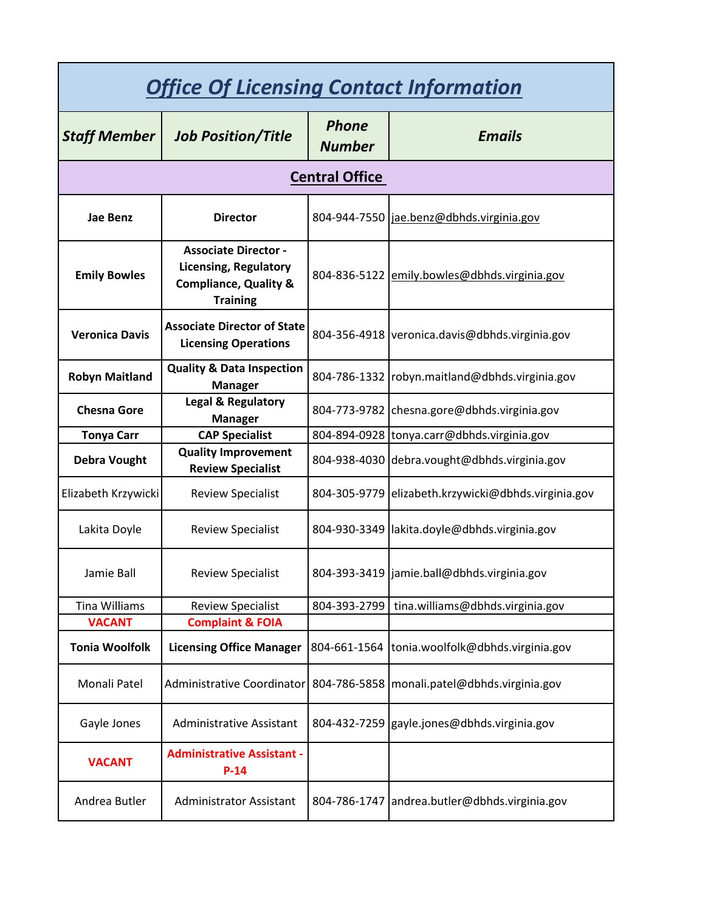| <b>Office Of Licensing Contact Information</b> |                                                                                                                    |                               |                                                     |
|------------------------------------------------|--------------------------------------------------------------------------------------------------------------------|-------------------------------|-----------------------------------------------------|
| <b>Staff Member</b>                            | <b>Job Position/Title</b>                                                                                          | <b>Phone</b><br><b>Number</b> | <b>Emails</b>                                       |
| <b>Central Office</b>                          |                                                                                                                    |                               |                                                     |
| Jae Benz                                       | <b>Director</b>                                                                                                    |                               | 804-944-7550 jae.benz@dbhds.virginia.gov            |
| <b>Emily Bowles</b>                            | <b>Associate Director -</b><br><b>Licensing, Regulatory</b><br><b>Compliance, Quality &amp;</b><br><b>Training</b> |                               | 804-836-5122 emily.bowles@dbhds.virginia.gov        |
| <b>Veronica Davis</b>                          | <b>Associate Director of State</b><br><b>Licensing Operations</b>                                                  |                               | 804-356-4918 veronica.davis@dbhds.virginia.gov      |
| <b>Robyn Maitland</b>                          | <b>Quality &amp; Data Inspection</b><br><b>Manager</b>                                                             |                               | 804-786-1332 robyn.maitland@dbhds.virginia.gov      |
| <b>Chesna Gore</b>                             | <b>Legal &amp; Regulatory</b><br><b>Manager</b>                                                                    |                               | 804-773-9782 chesna.gore@dbhds.virginia.gov         |
| <b>Tonya Carr</b>                              | <b>CAP Specialist</b>                                                                                              |                               | 804-894-0928 tonya.carr@dbhds.virginia.gov          |
| <b>Debra Vought</b>                            | <b>Quality Improvement</b><br><b>Review Specialist</b>                                                             |                               | 804-938-4030 debra.vought@dbhds.virginia.gov        |
| Elizabeth Krzywicki                            | <b>Review Specialist</b>                                                                                           |                               | 804-305-9779 elizabeth.krzywicki@dbhds.virginia.gov |
| Lakita Doyle                                   | <b>Review Specialist</b>                                                                                           |                               | 804-930-3349 lakita.doyle@dbhds.virginia.gov        |
| Jamie Ball                                     | <b>Review Specialist</b>                                                                                           |                               | 804-393-3419 jamie.ball@dbhds.virginia.gov          |
| Tina Williams                                  | <b>Review Specialist</b>                                                                                           | 804-393-2799                  | tina.williams@dbhds.virginia.gov                    |
| <b>VACANT</b>                                  | <b>Complaint &amp; FOIA</b>                                                                                        |                               |                                                     |
| <b>Tonia Woolfolk</b>                          | <b>Licensing Office Manager</b>                                                                                    | 804-661-1564                  | tonia.woolfolk@dbhds.virginia.gov                   |
| Monali Patel                                   | Administrative Coordinator                                                                                         |                               | 804-786-5858   monali.patel@dbhds.virginia.gov      |
| Gayle Jones                                    | <b>Administrative Assistant</b>                                                                                    |                               | 804-432-7259 gayle.jones@dbhds.virginia.gov         |
| <b>VACANT</b>                                  | <b>Administrative Assistant -</b><br>$P-14$                                                                        |                               |                                                     |
| Andrea Butler                                  | <b>Administrator Assistant</b>                                                                                     | 804-786-1747                  | andrea.butler@dbhds.virginia.gov                    |
|                                                |                                                                                                                    |                               |                                                     |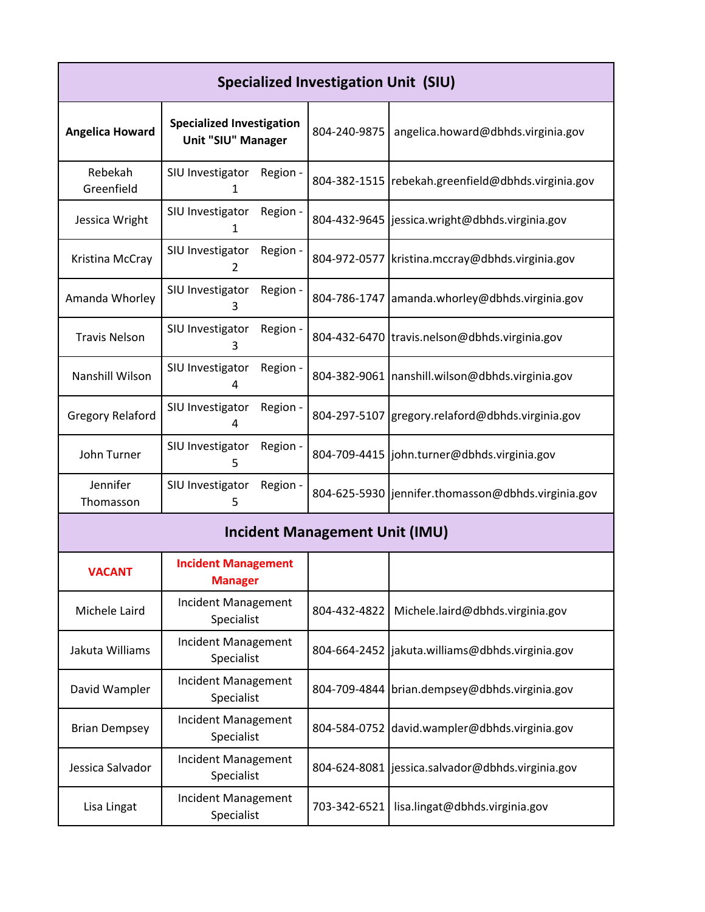| Specialized Investigation Unit (SIU) |                                                        |          |              |                                                    |
|--------------------------------------|--------------------------------------------------------|----------|--------------|----------------------------------------------------|
| <b>Angelica Howard</b>               | <b>Specialized Investigation</b><br>Unit "SIU" Manager |          | 804-240-9875 | angelica.howard@dbhds.virginia.gov                 |
| Rebekah<br>Greenfield                | SIU Investigator<br>1                                  | Region - | 804-382-1515 | rebekah.greenfield@dbhds.virginia.gov              |
| Jessica Wright                       | SIU Investigator<br>1                                  | Region - |              | 804-432-9645   jessica.wright@dbhds.virginia.gov   |
| Kristina McCray                      | SIU Investigator<br>2                                  | Region - |              | 804-972-0577   kristina.mccray@dbhds.virginia.gov  |
| Amanda Whorley                       | SIU Investigator<br>3                                  | Region - |              | 804-786-1747 amanda.whorley@dbhds.virginia.gov     |
| <b>Travis Nelson</b>                 | SIU Investigator<br>3                                  | Region - |              | 804-432-6470 travis.nelson@dbhds.virginia.gov      |
| Nanshill Wilson                      | SIU Investigator<br>4                                  | Region - | 804-382-9061 | Inanshill.wilson@dbhds.virginia.gov                |
| <b>Gregory Relaford</b>              | SIU Investigator<br>4                                  | Region - | 804-297-5107 | gregory.relaford@dbhds.virginia.gov                |
| John Turner                          | SIU Investigator<br>5                                  | Region - |              | 804-709-4415 john.turner@dbhds.virginia.gov        |
| Jennifer<br>Thomasson                | SIU Investigator<br>5                                  | Region - |              | 804-625-5930 jennifer.thomasson@dbhds.virginia.gov |

## **Incident Management Unit (IMU)**

| <b>VACANT</b>        | <b>Incident Management</b><br><b>Manager</b> |              |                                                   |
|----------------------|----------------------------------------------|--------------|---------------------------------------------------|
| Michele Laird        | Incident Management<br>Specialist            | 804-432-4822 | Michele.laird@dbhds.virginia.gov                  |
| Jakuta Williams      | Incident Management<br>Specialist            |              | 804-664-2452   jakuta.williams@dbhds.virginia.gov |
| David Wampler        | Incident Management<br>Specialist            |              | 804-709-4844 brian.dempsey@dbhds.virginia.gov     |
| <b>Brian Dempsey</b> | Incident Management<br>Specialist            |              | 804-584-0752 david.wampler@dbhds.virginia.gov     |
| Jessica Salvador     | Incident Management<br>Specialist            |              | 804-624-8081 jessica.salvador@dbhds.virginia.gov  |
| Lisa Lingat          | Incident Management<br>Specialist            | 703-342-6521 | lisa.lingat@dbhds.virginia.gov                    |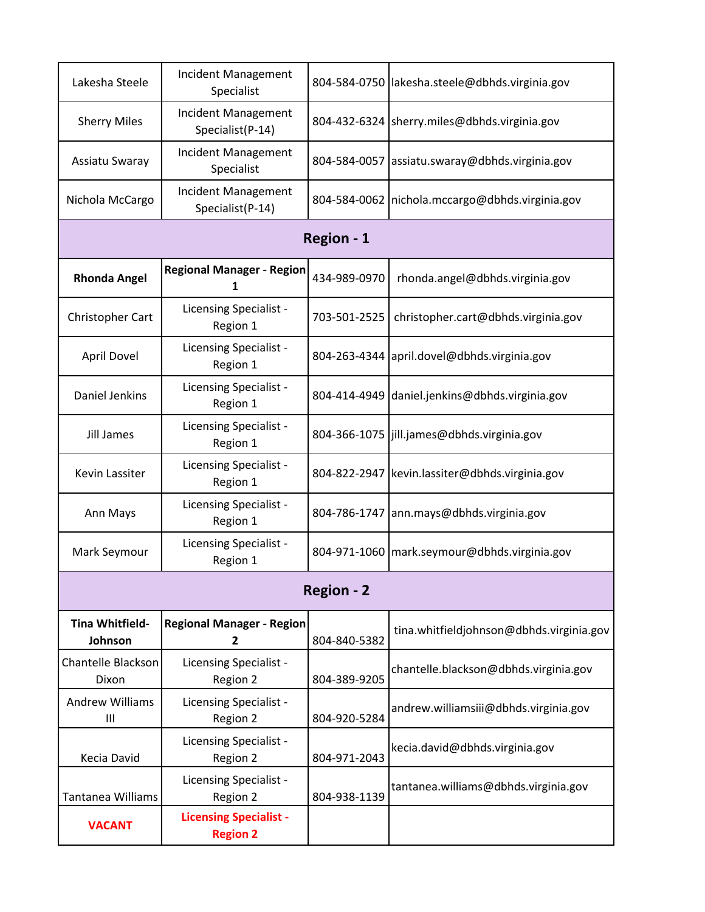| Lakesha Steele                    | Incident Management<br>Specialist                |                   | 804-584-0750 lakesha.steele@dbhds.virginia.gov    |
|-----------------------------------|--------------------------------------------------|-------------------|---------------------------------------------------|
| <b>Sherry Miles</b>               | Incident Management<br>Specialist(P-14)          |                   | 804-432-6324 sherry.miles@dbhds.virginia.gov      |
| Assiatu Swaray                    | Incident Management<br>Specialist                | 804-584-0057      | assiatu.swaray@dbhds.virginia.gov                 |
| Nichola McCargo                   | Incident Management<br>Specialist(P-14)          |                   | 804-584-0062   nichola.mccargo@dbhds.virginia.gov |
|                                   |                                                  | Region - 1        |                                                   |
| <b>Rhonda Angel</b>               | <b>Regional Manager - Region</b><br>1            | 434-989-0970      | rhonda.angel@dbhds.virginia.gov                   |
| Christopher Cart                  | Licensing Specialist -<br>Region 1               | 703-501-2525      | christopher.cart@dbhds.virginia.gov               |
| April Dovel                       | <b>Licensing Specialist -</b><br>Region 1        |                   | 804-263-4344 april.dovel@dbhds.virginia.gov       |
| Daniel Jenkins                    | <b>Licensing Specialist -</b><br>Region 1        | 804-414-4949      | daniel.jenkins@dbhds.virginia.gov                 |
| Jill James                        | Licensing Specialist -<br>Region 1               |                   | 804-366-1075   jill.james@dbhds.virginia.gov      |
| Kevin Lassiter                    | Licensing Specialist -<br>Region 1               |                   | 804-822-2947 kevin.lassiter@dbhds.virginia.gov    |
| Ann Mays                          | Licensing Specialist -<br>Region 1               |                   | 804-786-1747 ann.mays@dbhds.virginia.gov          |
| Mark Seymour                      | Licensing Specialist -<br>Region 1               |                   | 804-971-1060   mark.seymour@dbhds.virginia.gov    |
|                                   |                                                  | <b>Region - 2</b> |                                                   |
| <b>Tina Whitfield-</b><br>Johnson | <b>Regional Manager - Region</b><br>2            | 804-840-5382      | tina.whitfieldjohnson@dbhds.virginia.gov          |
| Chantelle Blackson<br>Dixon       | Licensing Specialist -<br>Region 2               | 804-389-9205      | chantelle.blackson@dbhds.virginia.gov             |
| <b>Andrew Williams</b><br>Ш       | <b>Licensing Specialist -</b><br>Region 2        | 804-920-5284      | andrew.williamsiii@dbhds.virginia.gov             |
| Kecia David                       | Licensing Specialist -<br>Region 2               | 804-971-2043      | kecia.david@dbhds.virginia.gov                    |
| <b>Tantanea Williams</b>          | <b>Licensing Specialist -</b><br>Region 2        | 804-938-1139      | tantanea.williams@dbhds.virginia.gov              |
| <b>VACANT</b>                     | <b>Licensing Specialist -</b><br><b>Region 2</b> |                   |                                                   |
|                                   |                                                  |                   |                                                   |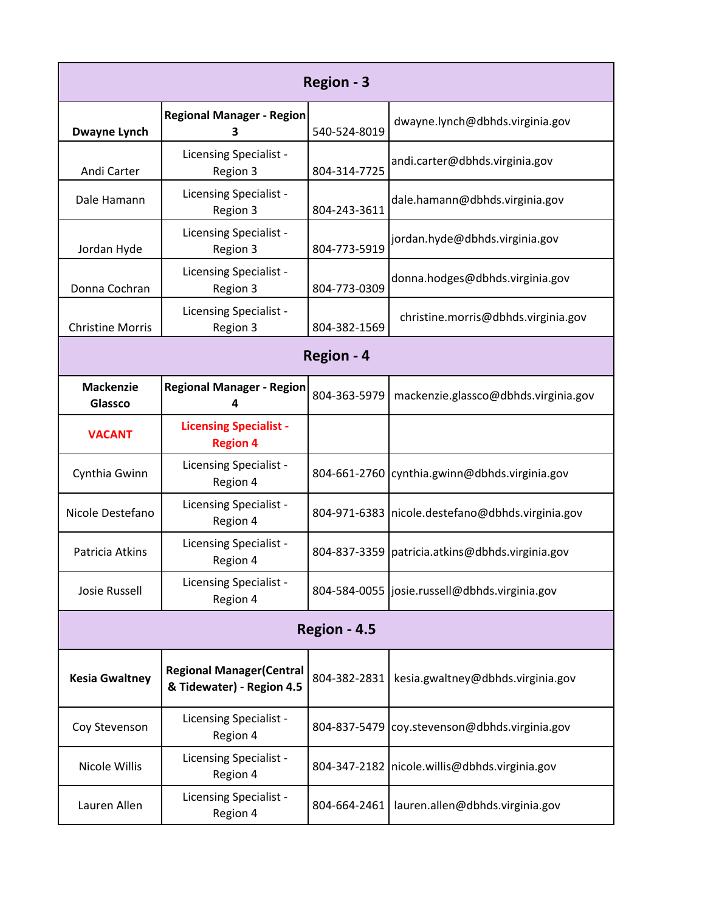| Region - 3                  |                                                               |              |                                                    |
|-----------------------------|---------------------------------------------------------------|--------------|----------------------------------------------------|
| <b>Dwayne Lynch</b>         | <b>Regional Manager - Region</b><br>3                         | 540-524-8019 | dwayne.lynch@dbhds.virginia.gov                    |
| Andi Carter                 | Licensing Specialist -<br>Region 3                            | 804-314-7725 | andi.carter@dbhds.virginia.gov                     |
| Dale Hamann                 | Licensing Specialist -<br>Region 3                            | 804-243-3611 | dale.hamann@dbhds.virginia.gov                     |
| Jordan Hyde                 | Licensing Specialist -<br>Region 3                            | 804-773-5919 | jordan.hyde@dbhds.virginia.gov                     |
| Donna Cochran               | Licensing Specialist -<br>Region 3                            | 804-773-0309 | donna.hodges@dbhds.virginia.gov                    |
| <b>Christine Morris</b>     | Licensing Specialist -<br>Region 3                            | 804-382-1569 | christine.morris@dbhds.virginia.gov                |
| Region - 4                  |                                                               |              |                                                    |
| <b>Mackenzie</b><br>Glassco | <b>Regional Manager - Region</b><br>Δ                         | 804-363-5979 | mackenzie.glassco@dbhds.virginia.gov               |
| <b>VACANT</b>               | <b>Licensing Specialist -</b><br><b>Region 4</b>              |              |                                                    |
| Cynthia Gwinn               | Licensing Specialist -<br>Region 4                            |              | 804-661-2760 cynthia.gwinn@dbhds.virginia.gov      |
| Nicole Destefano            | Licensing Specialist -<br>Region 4                            |              | 804-971-6383   nicole.destefano@dbhds.virginia.gov |
| Patricia Atkins             | Licensing Specialist -<br>Region 4                            |              | 804-837-3359   patricia.atkins@dbhds.virginia.gov  |
| <b>Josie Russell</b>        | Licensing Specialist -<br>Region 4                            |              | 804-584-0055  josie.russell@dbhds.virginia.gov     |
| Region - 4.5                |                                                               |              |                                                    |
| <b>Kesia Gwaltney</b>       | <b>Regional Manager (Central</b><br>& Tidewater) - Region 4.5 | 804-382-2831 | kesia.gwaltney@dbhds.virginia.gov                  |
| Coy Stevenson               | Licensing Specialist -<br>Region 4                            | 804-837-5479 | coy.stevenson@dbhds.virginia.gov                   |
| Nicole Willis               | Licensing Specialist -<br>Region 4                            |              | 804-347-2182   nicole.willis@dbhds.virginia.gov    |
| Lauren Allen                | Licensing Specialist -<br>Region 4                            | 804-664-2461 | lauren.allen@dbhds.virginia.gov                    |